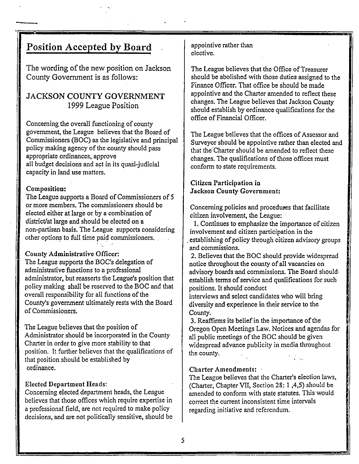# . **Position Accepted by Board**

The wording of the new position on Jackson County Government is as follows:

### JACKSON COUNTY GOVERNMENT 1999 League Position

Concerning the overall functioning of county government, the League believes that the Board of Commissioners (BOC) as the legislative and principal policy making agency of the county should pass appropriate ordinances, approve all budget decisions and act in its quasi-judicial capacity in land use matters.

#### Composition:

The League supports a Board of Commissioners of 5 or more members. The commissioners should be elected either at large or by a combination of district/at large and should be elected on a non-partisan basis. The League supports considering other options to full time paid commissioners.

#### County Administrative Officer:

The League supports the BOC's delegation of administrative functions to a professional administrator, but reasserts the League's position that policy making shall be reserved to the BOC and that overall responsibility for all functions of the County's government ultimately rests with the Board of Commissioners.

The League believes that the position of Administrator should be incorporated in the County Charter in order to give more stability to that position. It further believes that the qualifications of that position should be established by ordinance.

#### Elected Department Heads:

Concerning elected department heads, the League believes that those offices which require expertise in a professional field, are not required to make policy decisions, and are not politically sensitive, should be appointive rather than elective.

The League believes that the Office of Treasurer should be abolished with those duties assigned to the Finance Officer. That office be should be made appointive and the Charter amended to reflect these changes. The League believes that Jackson County should establish by ordinance qualifications for the office of Financial 0 fficer.

The League believes that the offices of Assessor and Surveyor should be appointive rather than elected and that the Charter should be amended to reflect these changes. The qualifications of those offices must conform to state requirements.

#### Citizen Participation in Jackson County Government:

Concerning policies and procedures that facilitate citizen involvement, the League: .

1. Continues to emphasize the importance of citizen involvement and citizen participation in the . establishing of policy through citizen advisory groups and commissions.

2. Believes that the BOC should provide widespread notice throughout the county of all vacancies on advisory boards·and commissions. The Board should· establish terms of service and qualifications for such positions. It should conduct

interviews and select candidates who will bring diversity and experience in their service to the County.

3. Reaffirms its belief in the importance of the Oregon Open Meetings Law. Notices and agendas for ,. all public meetings of the BOC should be given widespread advance publicity in media throughout the county.  $\mathcal{L}_{\text{max}}$ 

#### Charter Amendments:

The League believes that the Charter's election laws, (Charter, Chapter VII, Section 28: I ,4,5) should be amended to conform with state statutes. This would correct the current inconsistent time intervals regarding initiative and referendum.